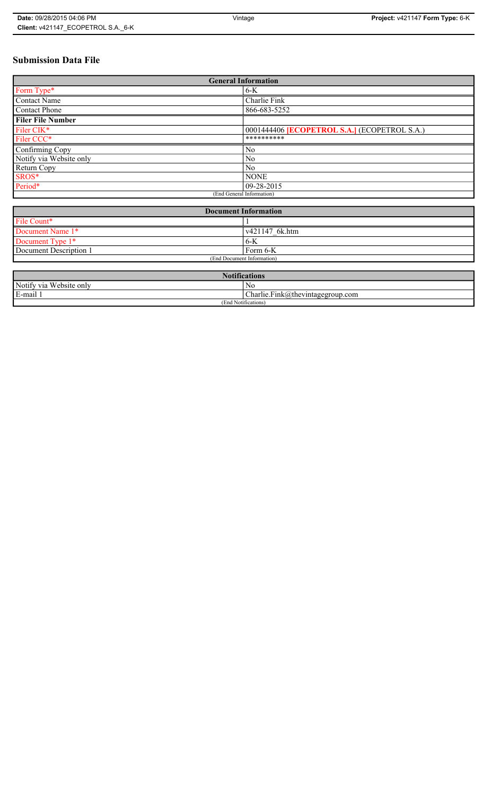# **Submission Data File**

| <b>General Information</b> |                                                     |
|----------------------------|-----------------------------------------------------|
| Form Type*                 | $6-K$                                               |
| <b>Contact Name</b>        | Charlie Fink                                        |
| <b>Contact Phone</b>       | 866-683-5252                                        |
| <b>Filer File Number</b>   |                                                     |
| Filer CIK*                 | 0001444406 <b>[ECOPETROL S.A.]</b> (ECOPETROL S.A.) |
| Filer CCC*                 | **********                                          |
| Confirming Copy            | N <sub>0</sub>                                      |
| Notify via Website only    | N <sub>0</sub>                                      |
| Return Copy                | N <sub>0</sub>                                      |
| SROS*                      | <b>NONE</b>                                         |
| Period*                    | $ 09-28-2015 $                                      |
| (End General Information)  |                                                     |

| <b>Document Information</b> |                |
|-----------------------------|----------------|
| File Count*                 |                |
| Document Name 1*            | v421147 6k.htm |
| Document Type 1*            | $6 - K$        |
| Document Description 1      | Form 6-K       |
| (End Document Information)  |                |

| <b>Notifications</b>    |                                                       |
|-------------------------|-------------------------------------------------------|
| Notify via Website only | N0                                                    |
| E-mail 1                | $\mathbf{r}$<br>$Charlie.Fink(a)$ thevintagegroup.com |
| (End Notifications)     |                                                       |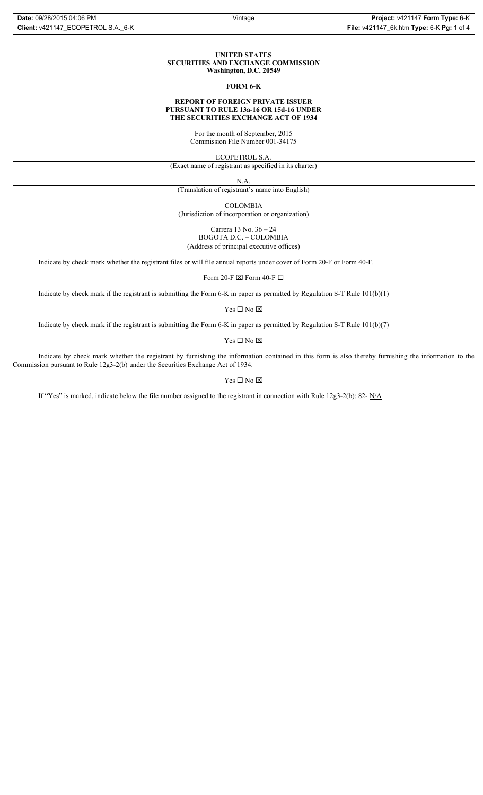#### **UNITED STATES SECURITIES AND EXCHANGE COMMISSION Washington, D.C. 20549**

#### **FORM 6-K**

## **REPORT OF FOREIGN PRIVATE ISSUER PURSUANT TO RULE 13a-16 OR 15d-16 UNDER THE SECURITIES EXCHANGE ACT OF 1934**

For the month of September, 2015 Commission File Number 001-34175

ECOPETROL S.A.

(Exact name of registrant as specified in its charter)

N.A.

(Translation of registrant's name into English)

COLOMBIA

(Jurisdiction of incorporation or organization)

Carrera 13 No. 36 – 24

BOGOTA D.C. – COLOMBIA (Address of principal executive offices)

Indicate by check mark whether the registrant files or will file annual reports under cover of Form 20-F or Form 40-F.

Form 20-F  $\boxtimes$  Form 40-F  $\Box$ 

Indicate by check mark if the registrant is submitting the Form 6-K in paper as permitted by Regulation S-T Rule 101(b)(1)

Yes $\Box$  No  $\boxtimes$ 

Indicate by check mark if the registrant is submitting the Form 6-K in paper as permitted by Regulation S-T Rule 101(b)(7)

Yes $\Box$  No  $\boxtimes$ 

Indicate by check mark whether the registrant by furnishing the information contained in this form is also thereby furnishing the information to the Commission pursuant to Rule 12g3-2(b) under the Securities Exchange Act of 1934.

### Yes $\Box$  No  $\boxtimes$

If "Yes" is marked, indicate below the file number assigned to the registrant in connection with Rule 12g3-2(b): 82-  $N/A$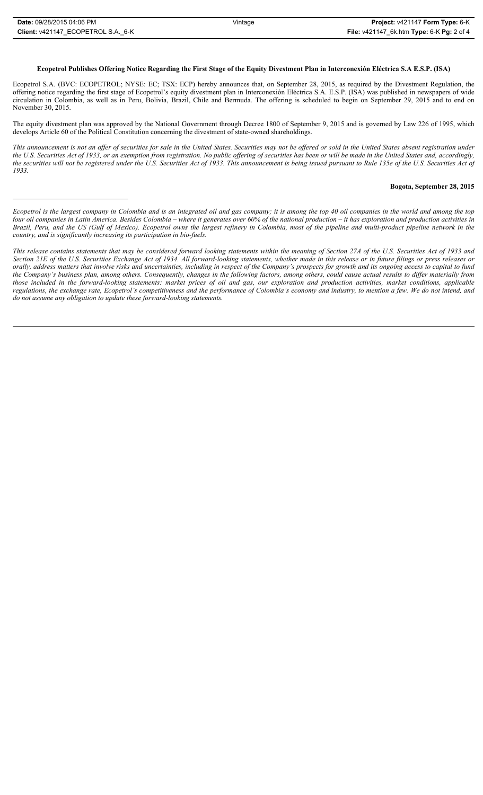# **Ecopetrol Publishes Offering Notice Regarding the First Stage of the Equity Divestment Plan in Interconexión Eléctrica S.A E.S.P. (ISA)**

Ecopetrol S.A. (BVC: ECOPETROL; NYSE: EC; TSX: ECP) hereby announces that, on September 28, 2015, as required by the Divestment Regulation, the offering notice regarding the first stage of Ecopetrol's equity divestment plan in Interconexión Eléctrica S.A. E.S.P. (ISA) was published in newspapers of wide circulation in Colombia, as well as in Peru, Bolivia, Brazil, Chile and Bermuda. The offering is scheduled to begin on September 29, 2015 and to end on November 30, 2015.

The equity divestment plan was approved by the National Government through Decree 1800 of September 9, 2015 and is governed by Law 226 of 1995, which develops Article 60 of the Political Constitution concerning the divestment of state-owned shareholdings.

*This announcement is not an offer of securities for sale in the United States. Securities may not be offered or sold in the United States absent registration under the U.S. Securities Act of 1933, or an exemption from registration. No public offering of securities has been or will be made in the United States and, accordingly, the securities will not be registered under the U.S. Securities Act of 1933. This announcement is being issued pursuant to Rule 135e of the U.S. Securities Act of 1933.*

#### **Bogota, September 28, 2015**

*Ecopetrol is the largest company in Colombia and is an integrated oil and gas company; it is among the top 40 oil companies in the world and among the top four oil companies in Latin America. Besides Colombia – where it generates over 60% of the national production – it has exploration and production activities in Brazil, Peru, and the US (Gulf of Mexico). Ecopetrol owns the largest refinery in Colombia, most of the pipeline and multi-product pipeline network in the country, and is significantly increasing its participation in bio-fuels.* 

*This release contains statements that may be considered forward looking statements within the meaning of Section 27A of the U.S. Securities Act of 1933 and Section 21E of the U.S. Securities Exchange Act of 1934. All forward-looking statements, whether made in this release or in future filings or press releases or orally, address matters that involve risks and uncertainties, including in respect of the Company's prospects for growth and its ongoing access to capital to fund the Company's business plan, among others. Consequently, changes in the following factors, among others, could cause actual results to differ materially from those included in the forward-looking statements: market prices of oil and gas, our exploration and production activities, market conditions, applicable regulations, the exchange rate, Ecopetrol's competitiveness and the performance of Colombia's economy and industry, to mention a few. We do not intend, and do not assume any obligation to update these forward-looking statements.*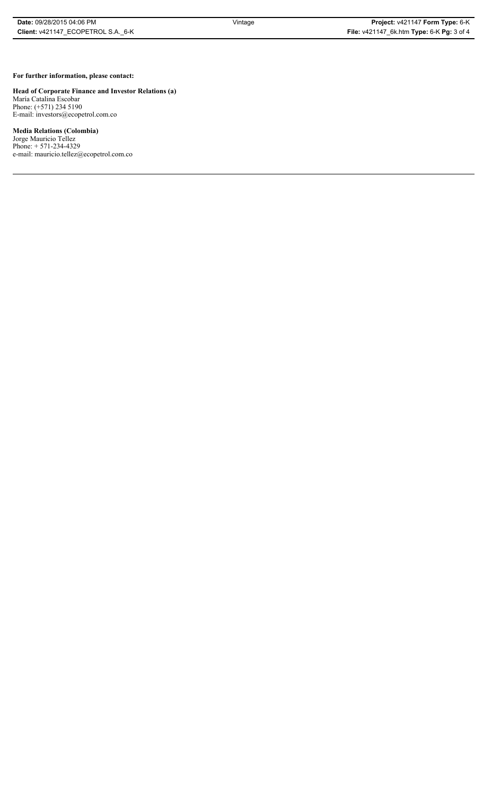# **For further information, please contact:**

**Head of Corporate Finance and Investor Relations (a)** María Catalina Escobar Phone: (+571) 234 5190 E-mail: investors@ecopetrol.com.co

**Media Relations (Colombia)**  Jorge Mauricio Tellez

Phone: + 571-234-4329 e-mail: mauricio.tellez@ecopetrol.com.co